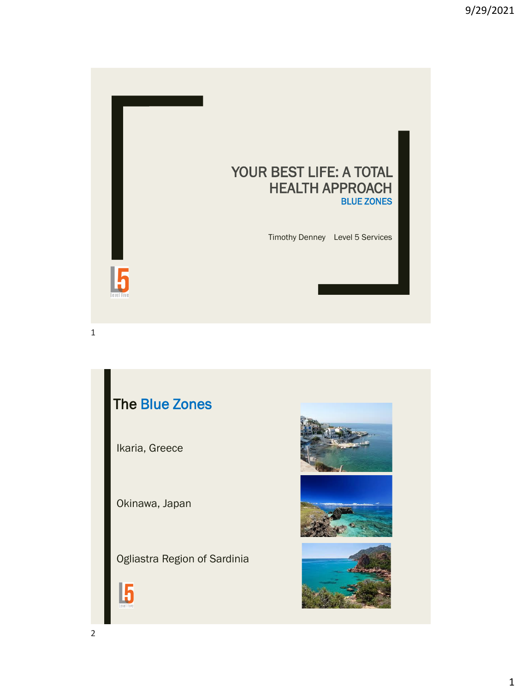

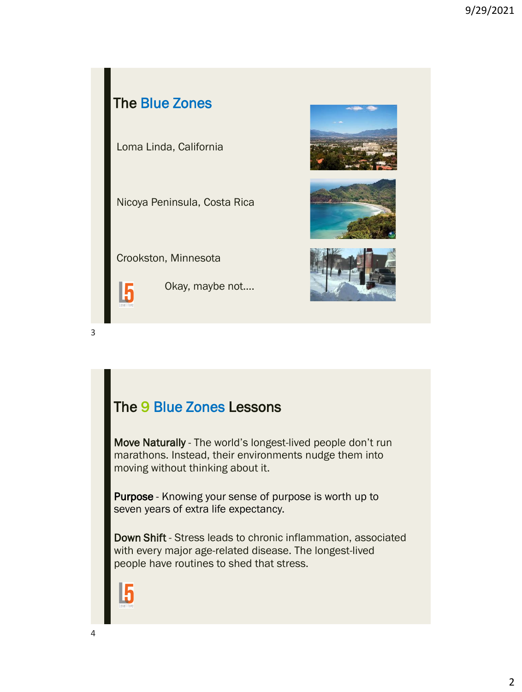

#### The 9 Blue Zones Lessons

Move Naturally - The world's longest-lived people don't run marathons. Instead, their environments nudge them into moving without thinking about it.

Purpose - Knowing your sense of purpose is worth up to seven years of extra life expectancy.

Down Shift - Stress leads to chronic inflammation, associated with every major age-related disease. The longest-lived people have routines to shed that stress.

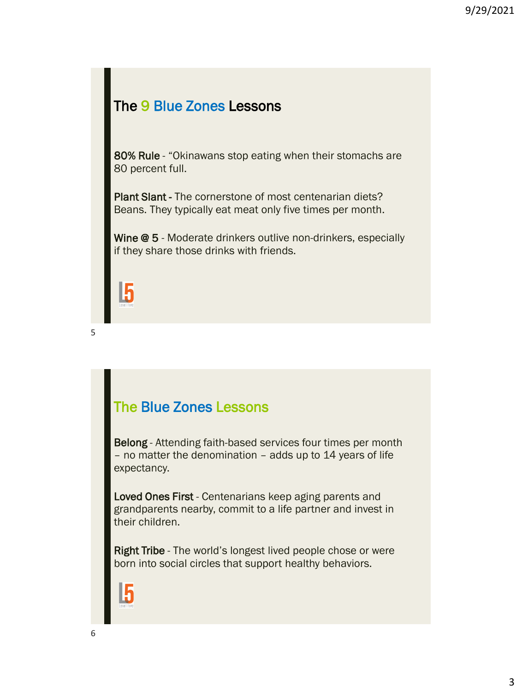#### The 9 Blue Zones Lessons

80% Rule - "Okinawans stop eating when their stomachs are 80 percent full.

Plant Slant - The cornerstone of most centenarian diets? Beans. They typically eat meat only five times per month.

Wine @ 5 - Moderate drinkers outlive non-drinkers, especially if they share those drinks with friends.



5

### The Blue Zones Lessons

Belong - Attending faith-based services four times per month – no matter the denomination – adds up to 14 years of life expectancy.

Loved Ones First - Centenarians keep aging parents and grandparents nearby, commit to a life partner and invest in their children.

Right Tribe - The world's longest lived people chose or were born into social circles that support healthy behaviors.

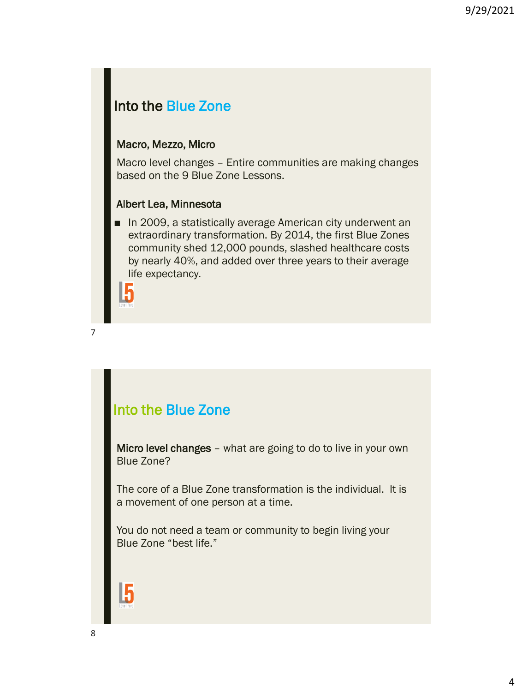#### Into the Blue Zone

#### Macro, Mezzo, Micro

Macro level changes – Entire communities are making changes based on the 9 Blue Zone Lessons.

#### Albert Lea, Minnesota

■ In 2009, a statistically average American city underwent an extraordinary transformation. By 2014, the first Blue Zones community shed 12,000 pounds, slashed healthcare costs by nearly 40%, and added over three years to their average life expectancy.



7

#### Into the Blue Zone

Micro level changes – what are going to do to live in your own Blue Zone?

The core of a Blue Zone transformation is the individual. It is a movement of one person at a time.

You do not need a team or community to begin living your Blue Zone "best life."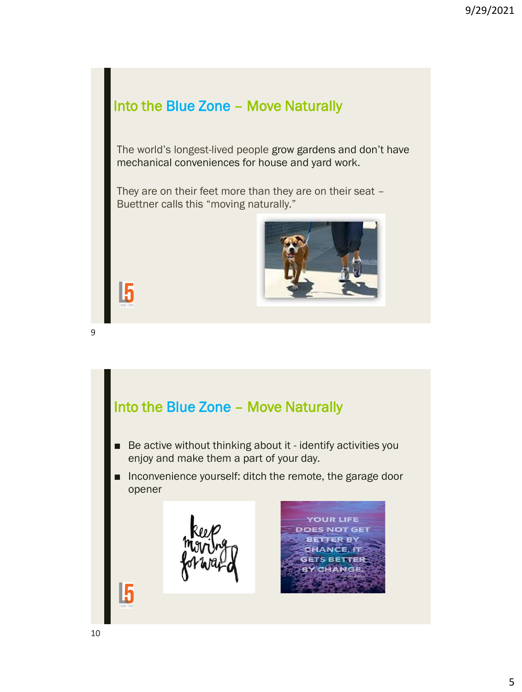## Into the Blue Zone – Move Naturally

The world's longest-lived people grow gardens and don't have mechanical conveniences for house and yard work.

They are on their feet more than they are on their seat – Buettner calls this "moving naturally."



15

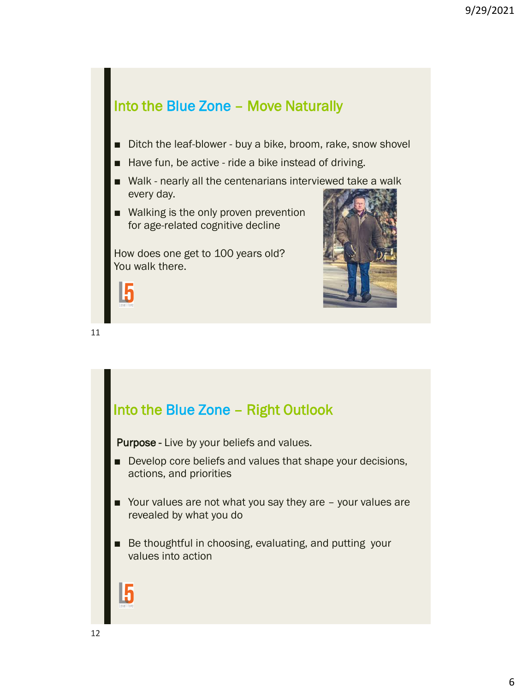#### Into the Blue Zone – Move Naturally

- Ditch the leaf-blower buy a bike, broom, rake, snow shovel
- Have fun, be active ride a bike instead of driving.
- Walk nearly all the centenarians interviewed take a walk every day.
- Walking is the only proven prevention for age-related cognitive decline

How does one get to 100 years old? You walk there.





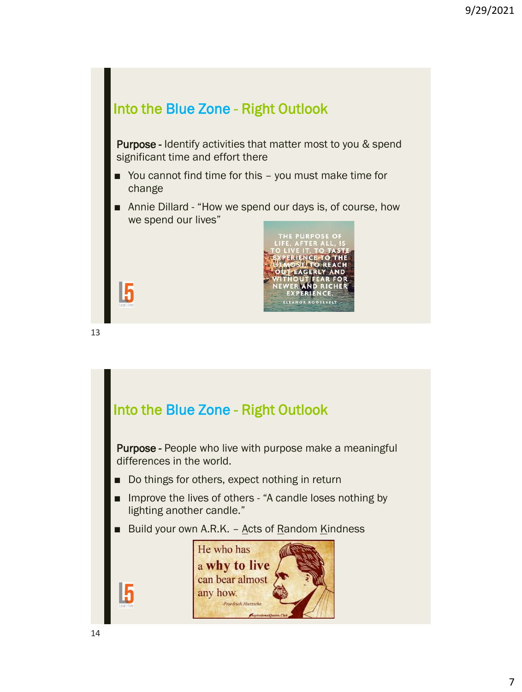

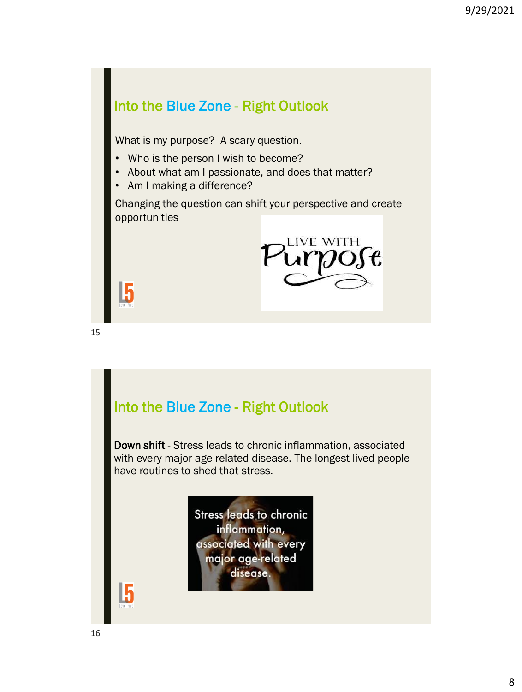## Into the Blue Zone - Right Outlook What is my purpose? A scary question. • Who is the person I wish to become? • About what am I passionate, and does that matter? • Am I making a difference? Changing the question can shift your perspective and create opportunities LIVE WITH 15

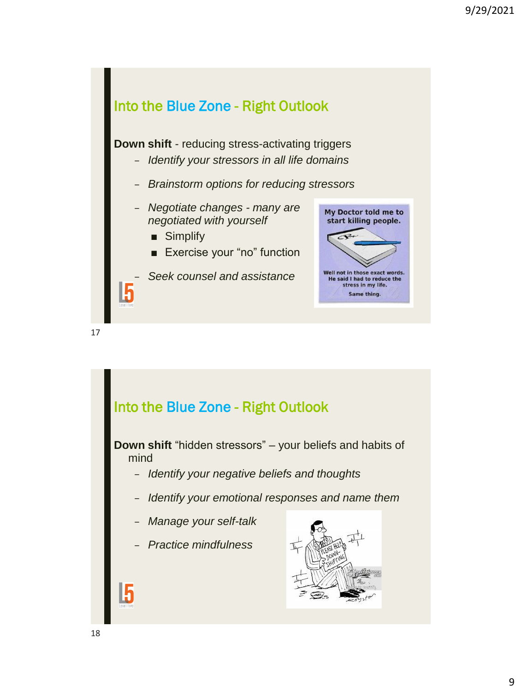

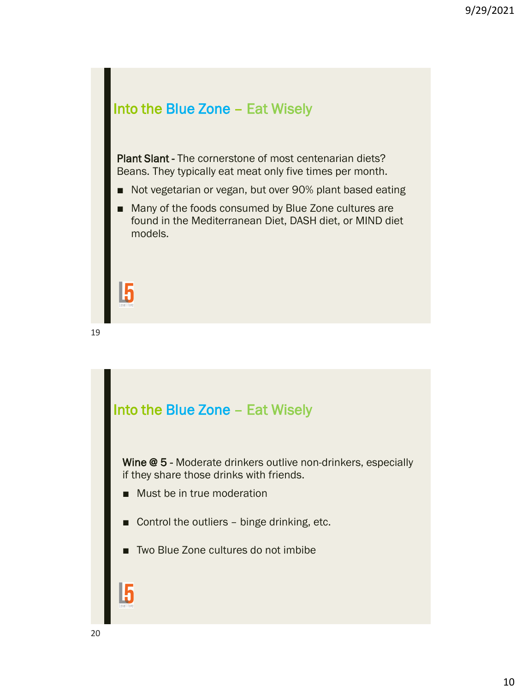

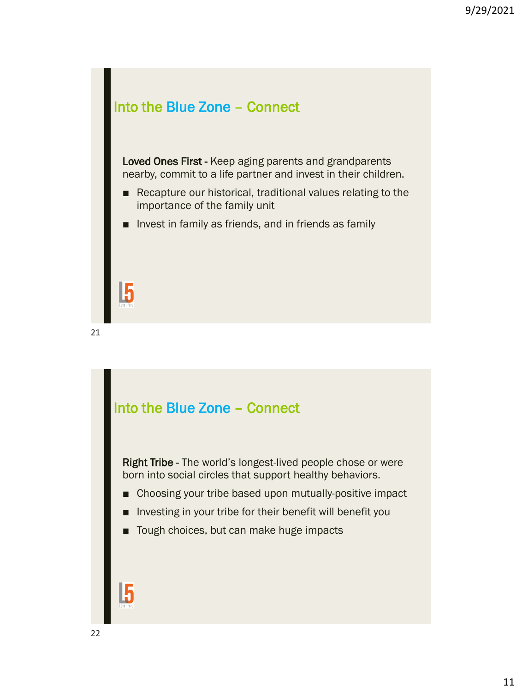

■ Invest in family as friends, and in friends as family